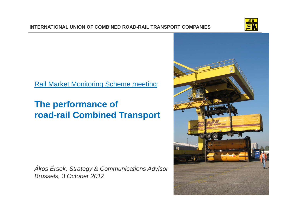

## Rail Market Monitoring Scheme meeting:

# **The performance of road-rail Combined Transport**

*Ákos Érsek, Strategy & Communications Advisor Brussels, 3 October 2012*

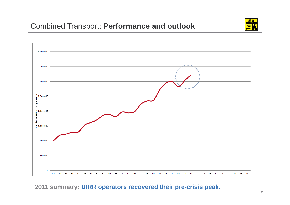## Combined Transport: **Performance and outlook**





**2011 summary: UIRR operators recovered their pre-crisis peak**.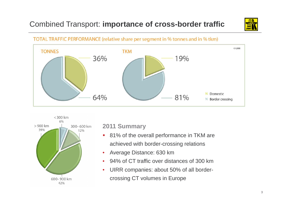## Combined Transport: **importance of cross-border traffic**



#### TOTAL TRAFFIC PERFORMANCE (relative share per segment in % tonnes and in % tkm)





### **2011 Summary**

- $\blacksquare$  81% of the overall performance in TKM are achieved with border-crossing relations
- •Average Distance: 630 km
- •94% of CT traffic over distances of 300 km
- $\bullet$  UIRR companies: about 50% of all bordercrossing CT volumes in Europe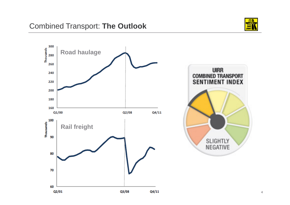

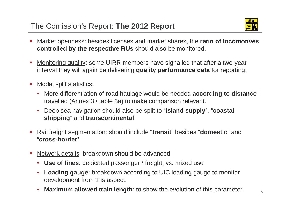

- П Market openness: besides licenses and market shares, the **ratio of locomotives controlled by the respective RUs** should also be monitored.
- П Monitoring quality: some UIRR members have signalled that after a two-year interval they will again be delivering **quality performance data** for reporting.
- **COL**  Modal split statistics:
	- • More differentiation of road haulage would be needed **according to distance**  travelled (Annex 3 / table 3a) to make comparison relevant.
	- $\bullet$  Deep sea navigation should also be split to "**island supply**", "**coastal shipping**" and **transcontinental**.
- П Rail freight segmentation: should include "**transit**" besides "**domestic**" and "**cross-border**".
- $\mathcal{L}_{\rm{eff}}$  Network details: breakdown should be advanced
	- **Use of lines**: dedicated passenger / freight, vs. mixed use
	- $\bullet$  **Loading gauge**: breakdown according to UIC loading gauge to monitor development from this aspect.
	- •**Maximum allowed train length**: to show the evolution of this parameter.